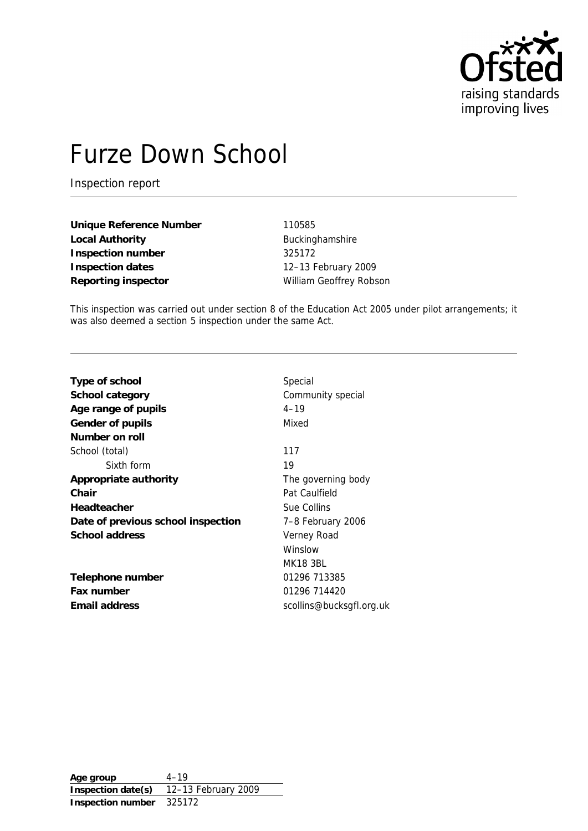

# Furze Down School

Inspection report

**Unique Reference Number** 110585 Local Authority **Buckinghamshire Inspection number** 325172 **Inspection dates** 12–13 February 2009 Reporting inspector **No. 2018** William Geoffrey Robson

This inspection was carried out under section 8 of the Education Act 2005 under pilot arrangements; it was also deemed a section 5 inspection under the same Act.

| Type of school                     | Special                  |
|------------------------------------|--------------------------|
| School category                    | Community special        |
| Age range of pupils                | $4 - 19$                 |
| Gender of pupils                   | Mixed                    |
| Number on roll                     |                          |
| School (total)                     | 117                      |
| Sixth form                         | 19                       |
| Appropriate authority              | The governing body       |
| Chair                              | Pat Caulfield            |
| Headteacher                        | Sue Collins              |
| Date of previous school inspection | 7-8 February 2006        |
| School address                     | Verney Road              |
|                                    | Winslow                  |
|                                    | <b>MK18 3BL</b>          |
| Telephone number                   | 01296 713385             |
| Fax number                         | 01296 714420             |
| Email address                      | scollins@bucksgfl.org.uk |

**Age group** 4–19 **Inspection date(s)** 12–13 February 2009 **Inspection number** 325172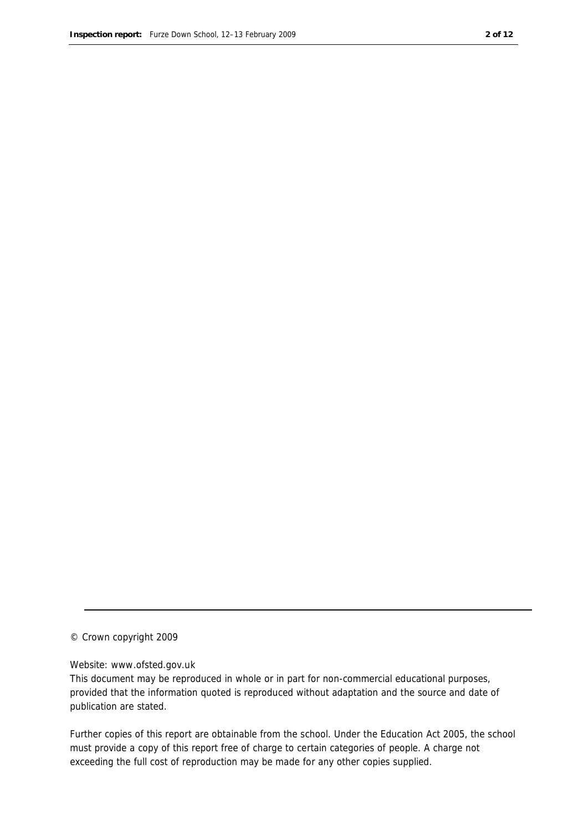#### © Crown copyright 2009

#### Website: www.ofsted.gov.uk

This document may be reproduced in whole or in part for non-commercial educational purposes, provided that the information quoted is reproduced without adaptation and the source and date of publication are stated.

Further copies of this report are obtainable from the school. Under the Education Act 2005, the school must provide a copy of this report free of charge to certain categories of people. A charge not exceeding the full cost of reproduction may be made for any other copies supplied.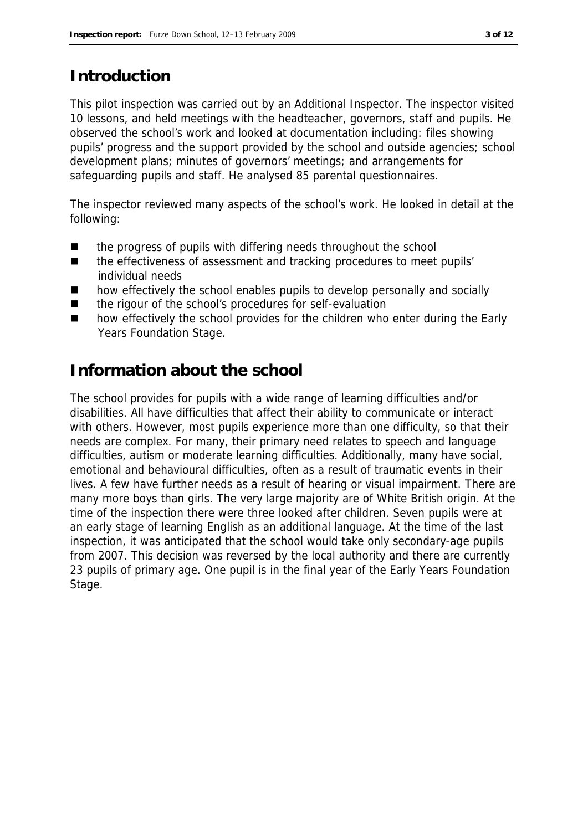### **Introduction**

This pilot inspection was carried out by an Additional Inspector. The inspector visited 10 lessons, and held meetings with the headteacher, governors, staff and pupils. He observed the school's work and looked at documentation including: files showing pupils' progress and the support provided by the school and outside agencies; school development plans; minutes of governors' meetings; and arrangements for safeguarding pupils and staff. He analysed 85 parental questionnaires.

The inspector reviewed many aspects of the school's work. He looked in detail at the following:

- the progress of pupils with differing needs throughout the school
- the effectiveness of assessment and tracking procedures to meet pupils' individual needs
- how effectively the school enables pupils to develop personally and socially
- the rigour of the school's procedures for self-evaluation
- how effectively the school provides for the children who enter during the Early Years Foundation Stage.

### **Information about the school**

The school provides for pupils with a wide range of learning difficulties and/or disabilities. All have difficulties that affect their ability to communicate or interact with others. However, most pupils experience more than one difficulty, so that their needs are complex. For many, their primary need relates to speech and language difficulties, autism or moderate learning difficulties. Additionally, many have social, emotional and behavioural difficulties, often as a result of traumatic events in their lives. A few have further needs as a result of hearing or visual impairment. There are many more boys than girls. The very large majority are of White British origin. At the time of the inspection there were three looked after children. Seven pupils were at an early stage of learning English as an additional language. At the time of the last inspection, it was anticipated that the school would take only secondary-age pupils from 2007. This decision was reversed by the local authority and there are currently 23 pupils of primary age. One pupil is in the final year of the Early Years Foundation Stage.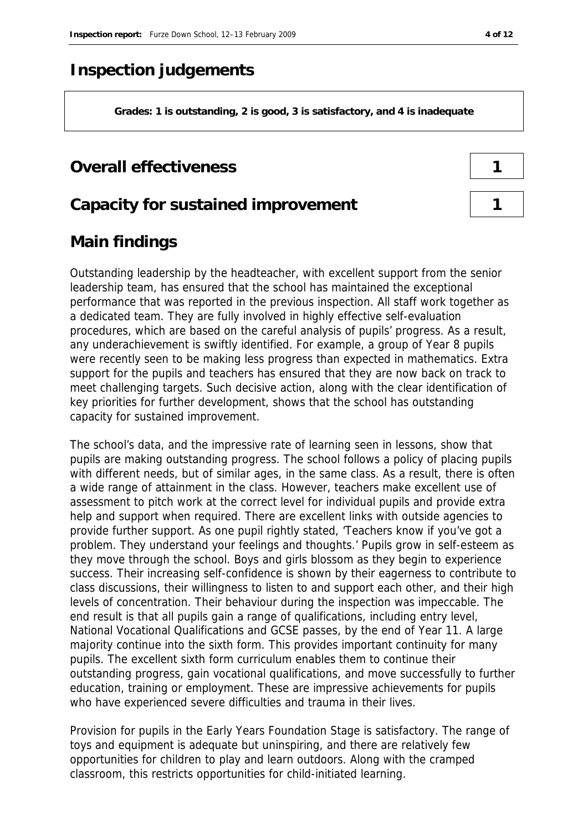### **Inspection judgements**

**Grades: 1 is outstanding, 2 is good, 3 is satisfactory, and 4 is inadequate**

#### **Overall effectiveness 1**

#### **Capacity for sustained improvement 1**

### **Main findings**

Outstanding leadership by the headteacher, with excellent support from the senior leadership team, has ensured that the school has maintained the exceptional performance that was reported in the previous inspection. All staff work together as a dedicated team. They are fully involved in highly effective self-evaluation procedures, which are based on the careful analysis of pupils' progress. As a result, any underachievement is swiftly identified. For example, a group of Year 8 pupils were recently seen to be making less progress than expected in mathematics. Extra support for the pupils and teachers has ensured that they are now back on track to meet challenging targets. Such decisive action, along with the clear identification of key priorities for further development, shows that the school has outstanding capacity for sustained improvement.

The school's data, and the impressive rate of learning seen in lessons, show that pupils are making outstanding progress. The school follows a policy of placing pupils with different needs, but of similar ages, in the same class. As a result, there is often a wide range of attainment in the class. However, teachers make excellent use of assessment to pitch work at the correct level for individual pupils and provide extra help and support when required. There are excellent links with outside agencies to provide further support. As one pupil rightly stated, 'Teachers know if you've got a problem. They understand your feelings and thoughts.' Pupils grow in self-esteem as they move through the school. Boys and girls blossom as they begin to experience success. Their increasing self-confidence is shown by their eagerness to contribute to class discussions, their willingness to listen to and support each other, and their high levels of concentration. Their behaviour during the inspection was impeccable. The end result is that all pupils gain a range of qualifications, including entry level, National Vocational Qualifications and GCSE passes, by the end of Year 11. A large majority continue into the sixth form. This provides important continuity for many pupils. The excellent sixth form curriculum enables them to continue their outstanding progress, gain vocational qualifications, and move successfully to further education, training or employment. These are impressive achievements for pupils who have experienced severe difficulties and trauma in their lives.

Provision for pupils in the Early Years Foundation Stage is satisfactory. The range of toys and equipment is adequate but uninspiring, and there are relatively few opportunities for children to play and learn outdoors. Along with the cramped classroom, this restricts opportunities for child-initiated learning.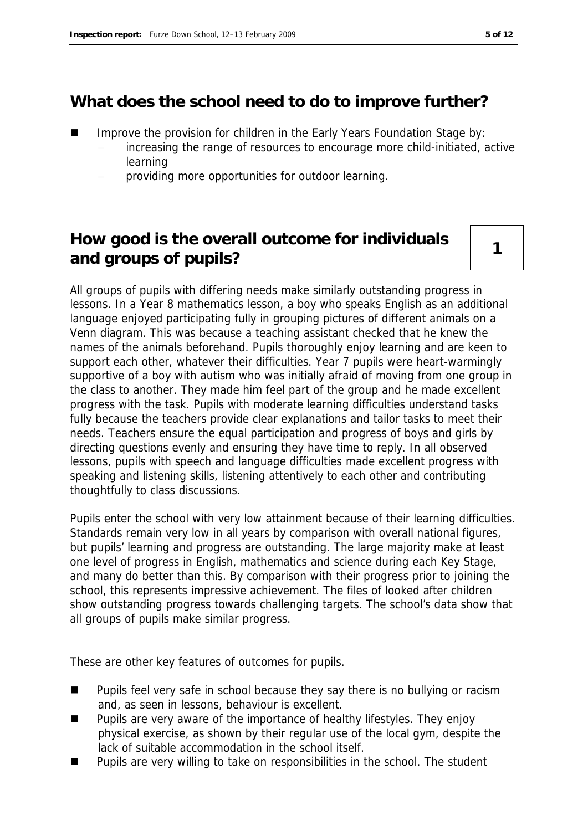### **What does the school need to do to improve further?**

- Improve the provision for children in the Early Years Foundation Stage by:
	- increasing the range of resources to encourage more child-initiated, active learning
	- providing more opportunities for outdoor learning.

### **How good is the overall outcome for individuals**  and groups of pupils?

All groups of pupils with differing needs make similarly outstanding progress in lessons. In a Year 8 mathematics lesson, a boy who speaks English as an additional language enjoyed participating fully in grouping pictures of different animals on a Venn diagram. This was because a teaching assistant checked that he knew the names of the animals beforehand. Pupils thoroughly enjoy learning and are keen to support each other, whatever their difficulties. Year 7 pupils were heart-warmingly supportive of a boy with autism who was initially afraid of moving from one group in the class to another. They made him feel part of the group and he made excellent progress with the task. Pupils with moderate learning difficulties understand tasks fully because the teachers provide clear explanations and tailor tasks to meet their needs. Teachers ensure the equal participation and progress of boys and girls by directing questions evenly and ensuring they have time to reply. In all observed lessons, pupils with speech and language difficulties made excellent progress with speaking and listening skills, listening attentively to each other and contributing thoughtfully to class discussions.

Pupils enter the school with very low attainment because of their learning difficulties. Standards remain very low in all years by comparison with overall national figures, but pupils' learning and progress are outstanding. The large majority make at least one level of progress in English, mathematics and science during each Key Stage, and many do better than this. By comparison with their progress prior to joining the school, this represents impressive achievement. The files of looked after children show outstanding progress towards challenging targets. The school's data show that all groups of pupils make similar progress.

These are other key features of outcomes for pupils.

- Pupils feel very safe in school because they say there is no bullying or racism and, as seen in lessons, behaviour is excellent.
- Pupils are very aware of the importance of healthy lifestyles. They enjoy physical exercise, as shown by their regular use of the local gym, despite the lack of suitable accommodation in the school itself.
- Pupils are very willing to take on responsibilities in the school. The student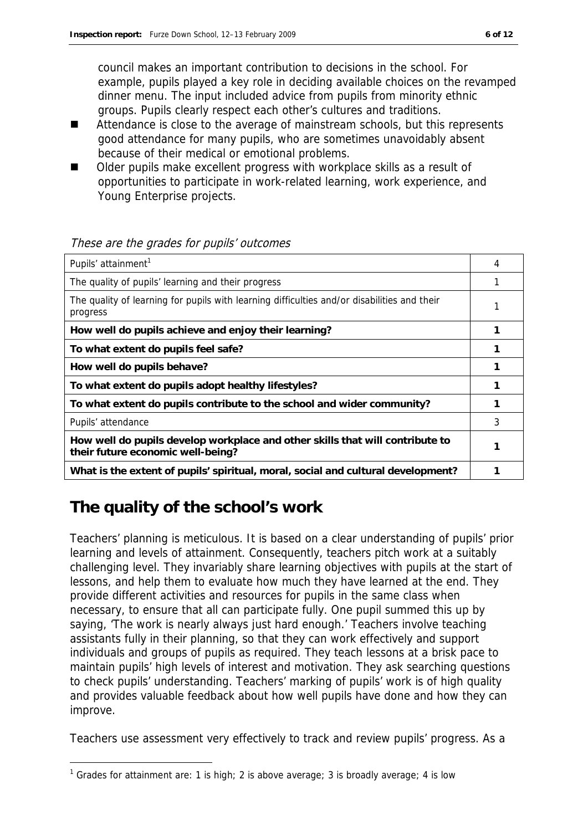council makes an important contribution to decisions in the school. For example, pupils played a key role in deciding available choices on the revamped dinner menu. The input included advice from pupils from minority ethnic groups. Pupils clearly respect each other's cultures and traditions.

- Attendance is close to the average of mainstream schools, but this represents good attendance for many pupils, who are sometimes unavoidably absent because of their medical or emotional problems.
- Older pupils make excellent progress with workplace skills as a result of opportunities to participate in work-related learning, work experience, and Young Enterprise projects.

| Pupils' attainment <sup>1</sup>                                                                                    | 4 |
|--------------------------------------------------------------------------------------------------------------------|---|
| The quality of pupils' learning and their progress                                                                 |   |
| The quality of learning for pupils with learning difficulties and/or disabilities and their<br>progress            |   |
| How well do pupils achieve and enjoy their learning?                                                               |   |
| To what extent do pupils feel safe?                                                                                |   |
| How well do pupils behave?                                                                                         |   |
| To what extent do pupils adopt healthy lifestyles?                                                                 |   |
| To what extent do pupils contribute to the school and wider community?                                             |   |
| Pupils' attendance                                                                                                 | 3 |
| How well do pupils develop workplace and other skills that will contribute to<br>their future economic well-being? |   |
| What is the extent of pupils' spiritual, moral, social and cultural development?                                   |   |

#### These are the grades for pupils' outcomes

## **The quality of the school's work**

-

Teachers' planning is meticulous. It is based on a clear understanding of pupils' prior learning and levels of attainment. Consequently, teachers pitch work at a suitably challenging level. They invariably share learning objectives with pupils at the start of lessons, and help them to evaluate how much they have learned at the end. They provide different activities and resources for pupils in the same class when necessary, to ensure that all can participate fully. One pupil summed this up by saying, 'The work is nearly always just hard enough.' Teachers involve teaching assistants fully in their planning, so that they can work effectively and support individuals and groups of pupils as required. They teach lessons at a brisk pace to maintain pupils' high levels of interest and motivation. They ask searching questions to check pupils' understanding. Teachers' marking of pupils' work is of high quality and provides valuable feedback about how well pupils have done and how they can improve.

Teachers use assessment very effectively to track and review pupils' progress. As a

<sup>&</sup>lt;sup>1</sup> Grades for attainment are: 1 is high; 2 is above average; 3 is broadly average; 4 is low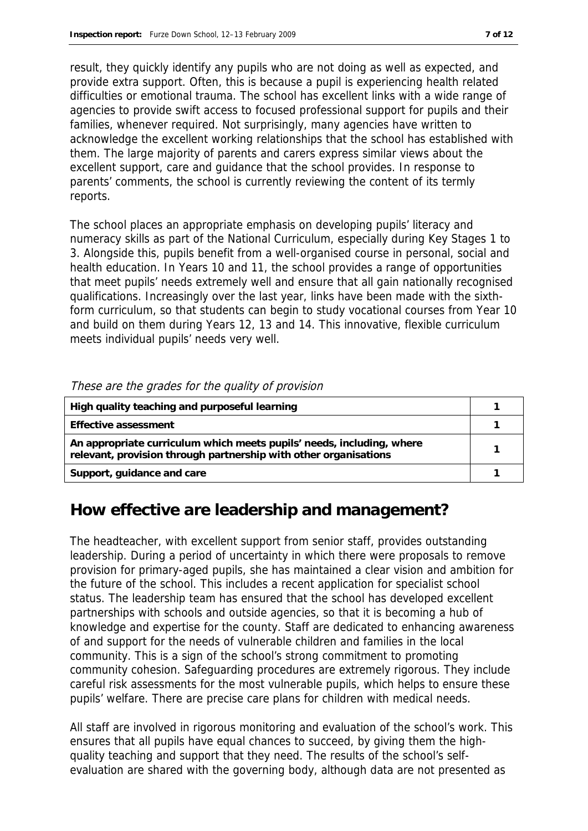result, they quickly identify any pupils who are not doing as well as expected, and provide extra support. Often, this is because a pupil is experiencing health related difficulties or emotional trauma. The school has excellent links with a wide range of agencies to provide swift access to focused professional support for pupils and their families, whenever required. Not surprisingly, many agencies have written to acknowledge the excellent working relationships that the school has established with them. The large majority of parents and carers express similar views about the excellent support, care and guidance that the school provides. In response to parents' comments, the school is currently reviewing the content of its termly reports.

The school places an appropriate emphasis on developing pupils' literacy and numeracy skills as part of the National Curriculum, especially during Key Stages 1 to 3. Alongside this, pupils benefit from a well-organised course in personal, social and health education. In Years 10 and 11, the school provides a range of opportunities that meet pupils' needs extremely well and ensure that all gain nationally recognised qualifications. Increasingly over the last year, links have been made with the sixthform curriculum, so that students can begin to study vocational courses from Year 10 and build on them during Years 12, 13 and 14. This innovative, flexible curriculum meets individual pupils' needs very well.

| High quality teaching and purposeful learning                                                                                             |  |
|-------------------------------------------------------------------------------------------------------------------------------------------|--|
| Effective assessment                                                                                                                      |  |
| An appropriate curriculum which meets pupils' needs, including, where<br>relevant, provision through partnership with other organisations |  |
| Support, guidance and care                                                                                                                |  |

#### These are the grades for the quality of provision

### **How effective are leadership and management?**

The headteacher, with excellent support from senior staff, provides outstanding leadership. During a period of uncertainty in which there were proposals to remove provision for primary-aged pupils, she has maintained a clear vision and ambition for the future of the school. This includes a recent application for specialist school status. The leadership team has ensured that the school has developed excellent partnerships with schools and outside agencies, so that it is becoming a hub of knowledge and expertise for the county. Staff are dedicated to enhancing awareness of and support for the needs of vulnerable children and families in the local community. This is a sign of the school's strong commitment to promoting community cohesion. Safeguarding procedures are extremely rigorous. They include careful risk assessments for the most vulnerable pupils, which helps to ensure these pupils' welfare. There are precise care plans for children with medical needs.

All staff are involved in rigorous monitoring and evaluation of the school's work. This ensures that all pupils have equal chances to succeed, by giving them the highquality teaching and support that they need. The results of the school's selfevaluation are shared with the governing body, although data are not presented as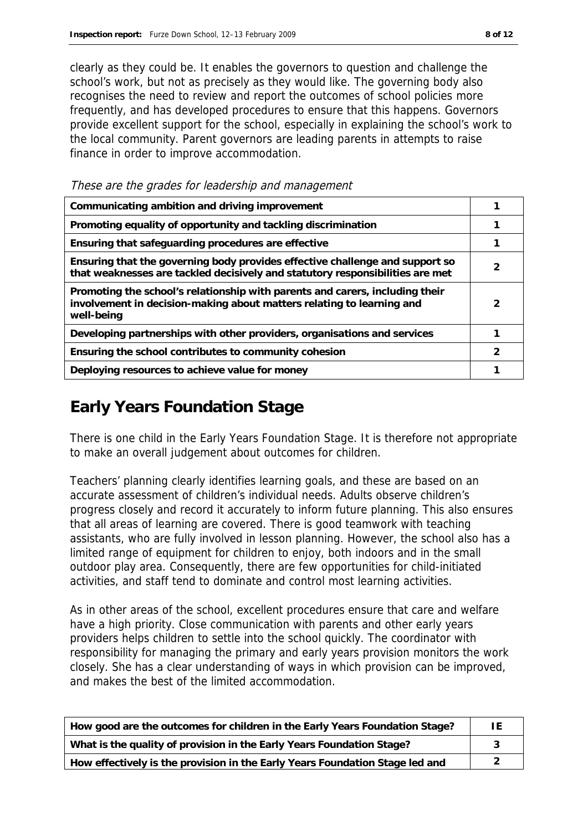clearly as they could be. It enables the governors to question and challenge the school's work, but not as precisely as they would like. The governing body also recognises the need to review and report the outcomes of school policies more frequently, and has developed procedures to ensure that this happens. Governors provide excellent support for the school, especially in explaining the school's work to the local community. Parent governors are leading parents in attempts to raise finance in order to improve accommodation.

These are the grades for leadership and management

| Communicating ambition and driving improvement                                                                                                                      |   |
|---------------------------------------------------------------------------------------------------------------------------------------------------------------------|---|
| Promoting equality of opportunity and tackling discrimination                                                                                                       |   |
| Ensuring that safeguarding procedures are effective                                                                                                                 |   |
| Ensuring that the governing body provides effective challenge and support so<br>that weaknesses are tackled decisively and statutory responsibilities are met       |   |
| Promoting the school's relationship with parents and carers, including their<br>involvement in decision-making about matters relating to learning and<br>well-being | 2 |
| Developing partnerships with other providers, organisations and services                                                                                            |   |
| Ensuring the school contributes to community cohesion                                                                                                               | っ |
| Deploying resources to achieve value for money                                                                                                                      |   |

### **Early Years Foundation Stage**

There is one child in the Early Years Foundation Stage. It is therefore not appropriate to make an overall judgement about outcomes for children.

Teachers' planning clearly identifies learning goals, and these are based on an accurate assessment of children's individual needs. Adults observe children's progress closely and record it accurately to inform future planning. This also ensures that all areas of learning are covered. There is good teamwork with teaching assistants, who are fully involved in lesson planning. However, the school also has a limited range of equipment for children to enjoy, both indoors and in the small outdoor play area. Consequently, there are few opportunities for child-initiated activities, and staff tend to dominate and control most learning activities.

As in other areas of the school, excellent procedures ensure that care and welfare have a high priority. Close communication with parents and other early years providers helps children to settle into the school quickly. The coordinator with responsibility for managing the primary and early years provision monitors the work closely. She has a clear understanding of ways in which provision can be improved, and makes the best of the limited accommodation.

| How good are the outcomes for children in the Early Years Foundation Stage?  | ΙF |
|------------------------------------------------------------------------------|----|
| What is the quality of provision in the Early Years Foundation Stage?        |    |
| How effectively is the provision in the Early Years Foundation Stage led and |    |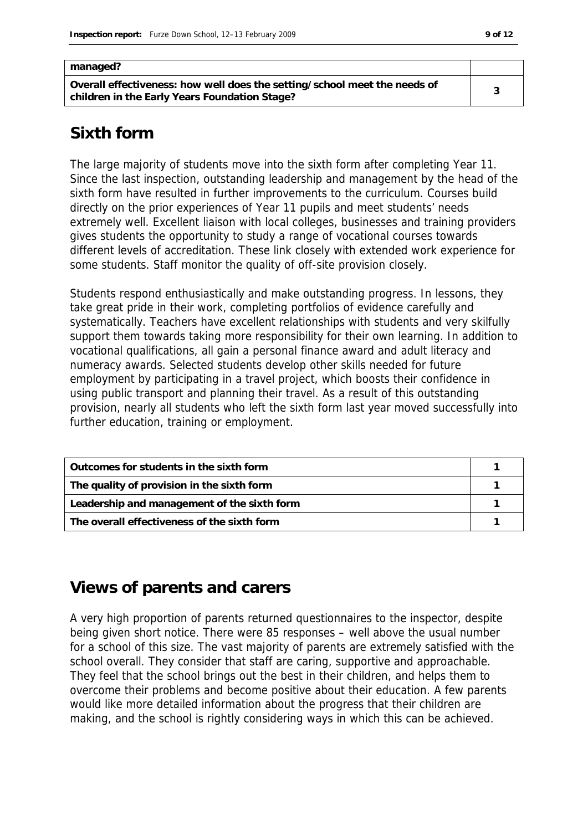| managed?                                                                                                                   |  |
|----------------------------------------------------------------------------------------------------------------------------|--|
| Overall effectiveness: how well does the setting/school meet the needs of<br>children in the Early Years Foundation Stage? |  |

#### **Sixth form**

The large majority of students move into the sixth form after completing Year 11. Since the last inspection, outstanding leadership and management by the head of the sixth form have resulted in further improvements to the curriculum. Courses build directly on the prior experiences of Year 11 pupils and meet students' needs extremely well. Excellent liaison with local colleges, businesses and training providers gives students the opportunity to study a range of vocational courses towards different levels of accreditation. These link closely with extended work experience for some students. Staff monitor the quality of off-site provision closely.

Students respond enthusiastically and make outstanding progress. In lessons, they take great pride in their work, completing portfolios of evidence carefully and systematically. Teachers have excellent relationships with students and very skilfully support them towards taking more responsibility for their own learning. In addition to vocational qualifications, all gain a personal finance award and adult literacy and numeracy awards. Selected students develop other skills needed for future employment by participating in a travel project, which boosts their confidence in using public transport and planning their travel. As a result of this outstanding provision, nearly all students who left the sixth form last year moved successfully into further education, training or employment.

| Outcomes for students in the sixth form     |  |
|---------------------------------------------|--|
| The quality of provision in the sixth form  |  |
| Leadership and management of the sixth form |  |
| The overall effectiveness of the sixth form |  |

### **Views of parents and carers**

A very high proportion of parents returned questionnaires to the inspector, despite being given short notice. There were 85 responses – well above the usual number for a school of this size. The vast majority of parents are extremely satisfied with the school overall. They consider that staff are caring, supportive and approachable. They feel that the school brings out the best in their children, and helps them to overcome their problems and become positive about their education. A few parents would like more detailed information about the progress that their children are making, and the school is rightly considering ways in which this can be achieved.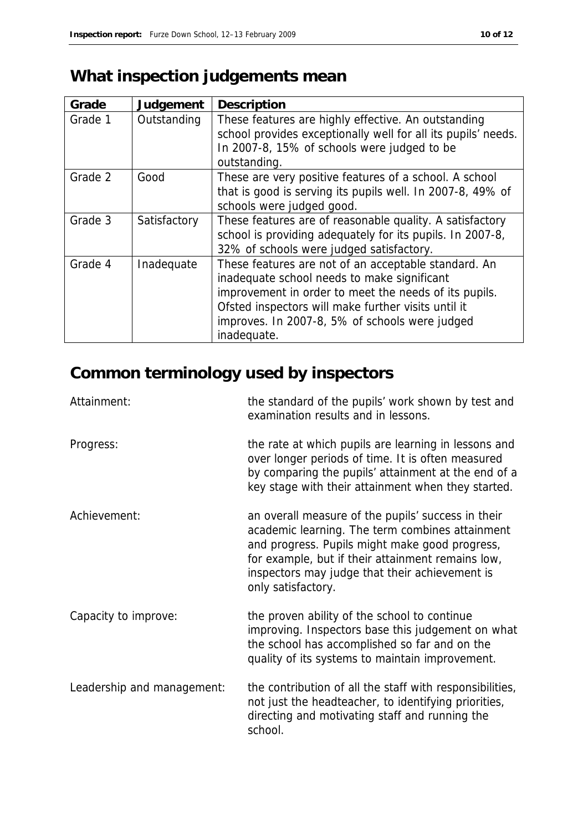# **What inspection judgements mean**

| Grade   | Judgement    | Description                                                                                                                                                                                                                                                                          |
|---------|--------------|--------------------------------------------------------------------------------------------------------------------------------------------------------------------------------------------------------------------------------------------------------------------------------------|
| Grade 1 | Outstanding  | These features are highly effective. An outstanding<br>school provides exceptionally well for all its pupils' needs.<br>In 2007-8, 15% of schools were judged to be<br>outstanding.                                                                                                  |
| Grade 2 | Good         | These are very positive features of a school. A school<br>that is good is serving its pupils well. In 2007-8, 49% of<br>schools were judged good.                                                                                                                                    |
| Grade 3 | Satisfactory | These features are of reasonable quality. A satisfactory<br>school is providing adequately for its pupils. In 2007-8,<br>32% of schools were judged satisfactory.                                                                                                                    |
| Grade 4 | Inadequate   | These features are not of an acceptable standard. An<br>inadequate school needs to make significant<br>improvement in order to meet the needs of its pupils.<br>Ofsted inspectors will make further visits until it<br>improves. In 2007-8, 5% of schools were judged<br>inadequate. |

# **Common terminology used by inspectors**

| Attainment:                | the standard of the pupils' work shown by test and<br>examination results and in lessons.                                                                                                                                                                                            |
|----------------------------|--------------------------------------------------------------------------------------------------------------------------------------------------------------------------------------------------------------------------------------------------------------------------------------|
| Progress:                  | the rate at which pupils are learning in lessons and<br>over longer periods of time. It is often measured<br>by comparing the pupils' attainment at the end of a<br>key stage with their attainment when they started.                                                               |
| Achievement:               | an overall measure of the pupils' success in their<br>academic learning. The term combines attainment<br>and progress. Pupils might make good progress,<br>for example, but if their attainment remains low,<br>inspectors may judge that their achievement is<br>only satisfactory. |
| Capacity to improve:       | the proven ability of the school to continue<br>improving. Inspectors base this judgement on what<br>the school has accomplished so far and on the<br>quality of its systems to maintain improvement.                                                                                |
| Leadership and management: | the contribution of all the staff with responsibilities,<br>not just the headteacher, to identifying priorities,<br>directing and motivating staff and running the<br>school.                                                                                                        |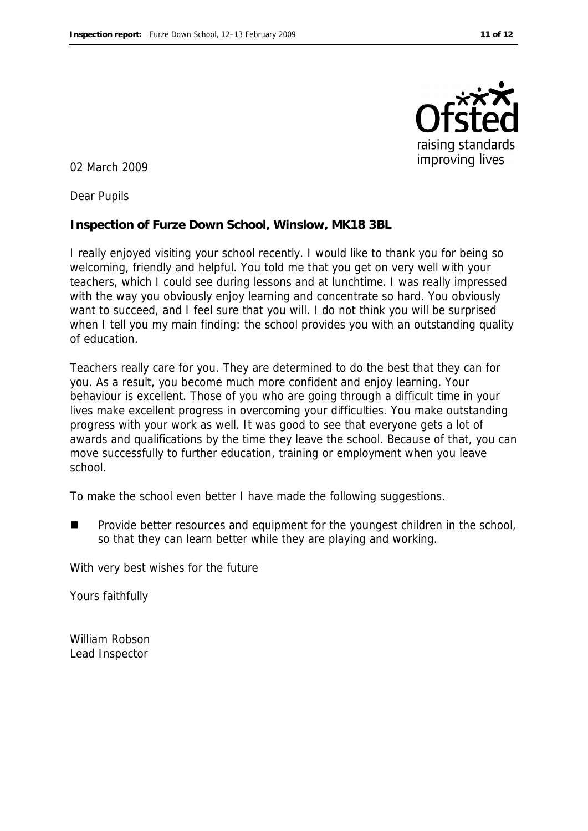

02 March 2009

Dear Pupils

**Inspection of Furze Down School, Winslow, MK18 3BL**

I really enjoyed visiting your school recently. I would like to thank you for being so welcoming, friendly and helpful. You told me that you get on very well with your teachers, which I could see during lessons and at lunchtime. I was really impressed with the way you obviously enjoy learning and concentrate so hard. You obviously want to succeed, and I feel sure that you will. I do not think you will be surprised when I tell you my main finding: the school provides you with an outstanding quality of education.

Teachers really care for you. They are determined to do the best that they can for you. As a result, you become much more confident and enjoy learning. Your behaviour is excellent. Those of you who are going through a difficult time in your lives make excellent progress in overcoming your difficulties. You make outstanding progress with your work as well. It was good to see that everyone gets a lot of awards and qualifications by the time they leave the school. Because of that, you can move successfully to further education, training or employment when you leave school.

To make the school even better I have made the following suggestions.

 Provide better resources and equipment for the youngest children in the school, so that they can learn better while they are playing and working.

With very best wishes for the future

Yours faithfully

William Robson Lead Inspector